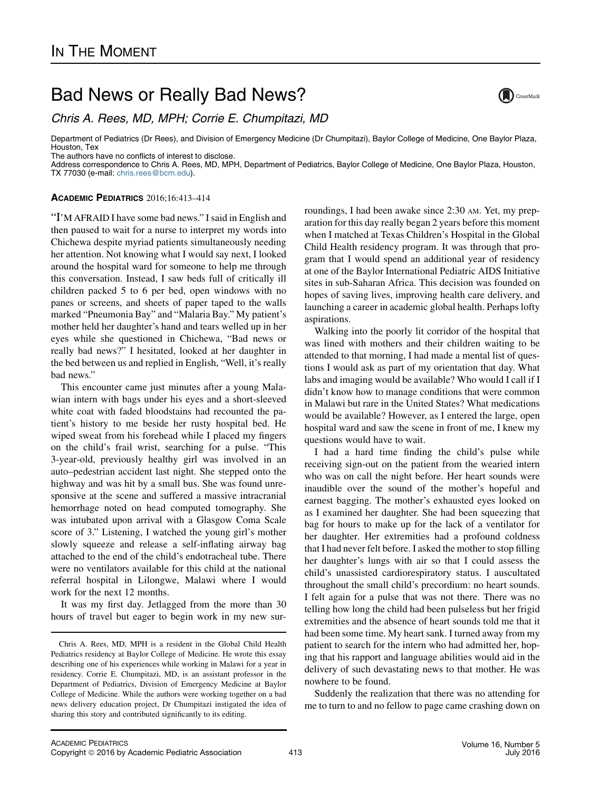## Bad News or Really Bad News?

Chris A. Rees, MD, MPH; Corrie E. Chumpitazi, MD

Department of Pediatrics (Dr Rees), and Division of Emergency Medicine (Dr Chumpitazi), Baylor College of Medicine, One Baylor Plaza, Houston, Tex

The authors have no conflicts of interest to disclose.

Address correspondence to Chris A. Rees, MD, MPH, Department of Pediatrics, Baylor College of Medicine, One Baylor Plaza, Houston, TX 77030 (e-mail: [chris.rees@bcm.edu](mailto:chris.rees@bcm.edu)).

## ACADEMIC PEDIATRICS 2016;16:413–414

"I'M AFRAID I have some bad news." I said in English and then paused to wait for a nurse to interpret my words into Chichewa despite myriad patients simultaneously needing her attention. Not knowing what I would say next, I looked around the hospital ward for someone to help me through this conversation. Instead, I saw beds full of critically ill children packed 5 to 6 per bed, open windows with no panes or screens, and sheets of paper taped to the walls marked "Pneumonia Bay" and "Malaria Bay." My patient's mother held her daughter's hand and tears welled up in her eyes while she questioned in Chichewa, "Bad news or really bad news?" I hesitated, looked at her daughter in the bed between us and replied in English, "Well, it's really bad news."

This encounter came just minutes after a young Malawian intern with bags under his eyes and a short-sleeved white coat with faded bloodstains had recounted the patient's history to me beside her rusty hospital bed. He wiped sweat from his forehead while I placed my fingers on the child's frail wrist, searching for a pulse. "This 3-year-old, previously healthy girl was involved in an auto–pedestrian accident last night. She stepped onto the highway and was hit by a small bus. She was found unresponsive at the scene and suffered a massive intracranial hemorrhage noted on head computed tomography. She was intubated upon arrival with a Glasgow Coma Scale score of 3." Listening, I watched the young girl's mother slowly squeeze and release a self-inflating airway bag attached to the end of the child's endotracheal tube. There were no ventilators available for this child at the national referral hospital in Lilongwe, Malawi where I would work for the next 12 months.

It was my first day. Jetlagged from the more than 30 hours of travel but eager to begin work in my new surroundings, I had been awake since 2:30 AM. Yet, my preparation for this day really began 2 years before this moment when I matched at Texas Children's Hospital in the Global Child Health residency program. It was through that program that I would spend an additional year of residency at one of the Baylor International Pediatric AIDS Initiative sites in sub-Saharan Africa. This decision was founded on hopes of saving lives, improving health care delivery, and launching a career in academic global health. Perhaps lofty aspirations.

Walking into the poorly lit corridor of the hospital that was lined with mothers and their children waiting to be attended to that morning, I had made a mental list of questions I would ask as part of my orientation that day. What labs and imaging would be available? Who would I call if I didn't know how to manage conditions that were common in Malawi but rare in the United States? What medications would be available? However, as I entered the large, open hospital ward and saw the scene in front of me, I knew my questions would have to wait.

I had a hard time finding the child's pulse while receiving sign-out on the patient from the wearied intern who was on call the night before. Her heart sounds were inaudible over the sound of the mother's hopeful and earnest bagging. The mother's exhausted eyes looked on as I examined her daughter. She had been squeezing that bag for hours to make up for the lack of a ventilator for her daughter. Her extremities had a profound coldness that I had never felt before. I asked the mother to stop filling her daughter's lungs with air so that I could assess the child's unassisted cardiorespiratory status. I auscultated throughout the small child's precordium: no heart sounds. I felt again for a pulse that was not there. There was no telling how long the child had been pulseless but her frigid extremities and the absence of heart sounds told me that it had been some time. My heart sank. I turned away from my patient to search for the intern who had admitted her, hoping that his rapport and language abilities would aid in the delivery of such devastating news to that mother. He was nowhere to be found.

Suddenly the realization that there was no attending for me to turn to and no fellow to page came crashing down on



Chris A. Rees, MD, MPH is a resident in the Global Child Health Pediatrics residency at Baylor College of Medicine. He wrote this essay describing one of his experiences while working in Malawi for a year in residency. Corrie E. Chumpitazi, MD, is an assistant professor in the Department of Pediatrics, Division of Emergency Medicine at Baylor College of Medicine. While the authors were working together on a bad news delivery education project, Dr Chumpitazi instigated the idea of sharing this story and contributed significantly to its editing.